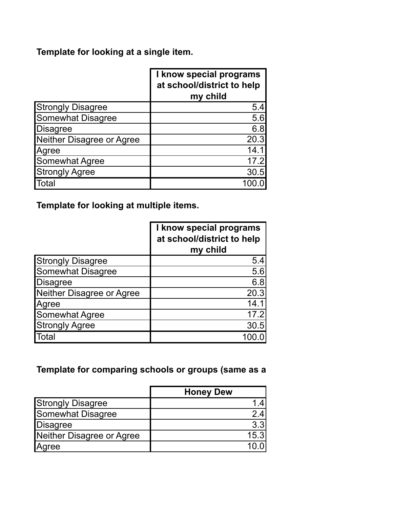# **Template for looking at a single item.**

|                           | I know special programs<br>at school/district to help<br>my child |
|---------------------------|-------------------------------------------------------------------|
| <b>Strongly Disagree</b>  | 5.4                                                               |
| <b>Somewhat Disagree</b>  | 5.6                                                               |
| <b>Disagree</b>           | 6.8                                                               |
| Neither Disagree or Agree | 20.3                                                              |
| Agree                     | 14.1                                                              |
| Somewhat Agree            | 17.2                                                              |
| <b>Strongly Agree</b>     | 30.5                                                              |
| Гоtal                     |                                                                   |

**Template for looking at multiple items.**

|                           | I know special programs<br>at school/district to help<br>my child |
|---------------------------|-------------------------------------------------------------------|
| <b>Strongly Disagree</b>  | 5.4                                                               |
| <b>Somewhat Disagree</b>  | 5.6                                                               |
| <b>Disagree</b>           | 6.8                                                               |
| Neither Disagree or Agree | 20.3                                                              |
| Agree                     | 14.1                                                              |
| <b>Somewhat Agree</b>     | 17.2                                                              |
| <b>Strongly Agree</b>     | 30.5                                                              |
| <b>Total</b>              |                                                                   |

### Template for comparing schools or groups (same as a

|                           | <b>Honey Dew</b> |
|---------------------------|------------------|
| <b>Strongly Disagree</b>  |                  |
| <b>Somewhat Disagree</b>  | 2.4              |
| Disagree                  | 3.3              |
| Neither Disagree or Agree | 15.3             |
| Agree                     |                  |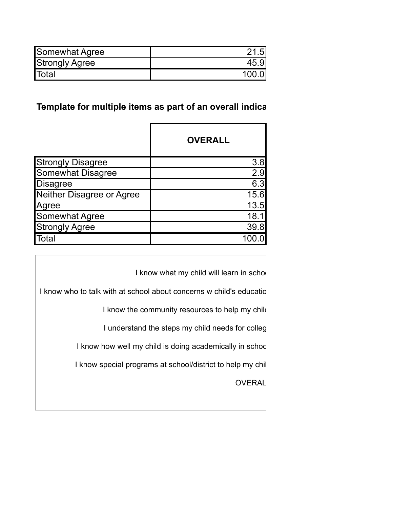| <b>Somewhat Agree</b> | 21   |
|-----------------------|------|
| <b>Strongly Agree</b> | 45.9 |
| <b>Total</b>          | 1000 |

### Template for multiple items as part of an overall indica

|                           | <b>OVERALL</b> |
|---------------------------|----------------|
| <b>Strongly Disagree</b>  | 3.8            |
| Somewhat Disagree         | 2.9            |
| <b>Disagree</b>           | 6.3            |
| Neither Disagree or Agree | 15.6           |
| Agree                     | 13.5           |
| Somewhat Agree            | 18.1           |
| <b>Strongly Agree</b>     | 39.8           |
| <b>Total</b>              |                |

I know what my child will learn in schoo

I know who to talk with at school about concerns w child's education

I know the community resources to help my child

I understand the steps my child needs for colleg

I know how well my child is doing academically in school

I know special programs at school/district to help my chil

**OVERAL**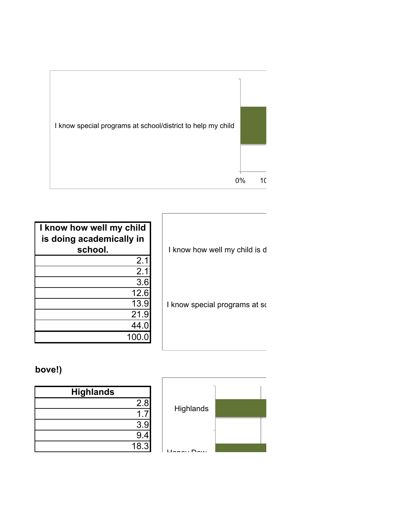

| I know how well my child<br>is doing academically in<br>school. |  |
|-----------------------------------------------------------------|--|
| 2.1                                                             |  |
| 2.1                                                             |  |
| 3.6                                                             |  |
| 12.6                                                            |  |
| 13.9                                                            |  |
| 21.9                                                            |  |
| 44.0                                                            |  |
| 100.0                                                           |  |

I know how well my child is d

I know special programs at so

## bove!)

| <b>Highlands</b> |      |
|------------------|------|
|                  | 2.8  |
|                  |      |
|                  | 3.9  |
|                  | 9.4  |
|                  | 18.3 |

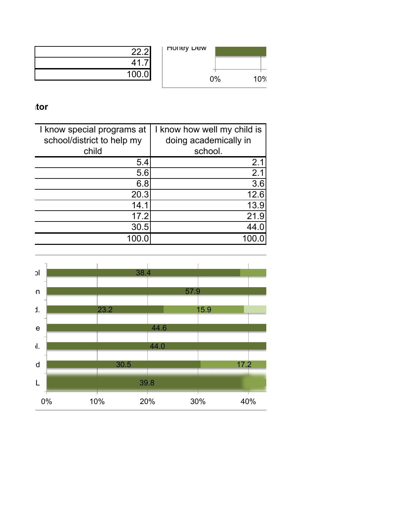

| 22.2  |
|-------|
| 41.7  |
| 100.0 |

#### **Tempels** items as  $\mathbf{r}$

| I know special programs at | I know how well my child is |
|----------------------------|-----------------------------|
| school/district to help my | doing academically in       |
| child                      | school.                     |
| 5.4                        | 2.1                         |
| 5.6                        | 2.1                         |
| 6.8                        | 3.6                         |
| 20.3                       | 12.6                        |
| 14.1                       | 13.9                        |
| 17.2                       | 21.9                        |
| 30.5                       | 44.0                        |
|                            |                             |

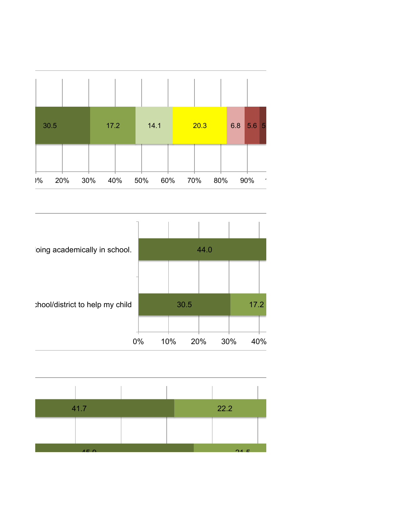



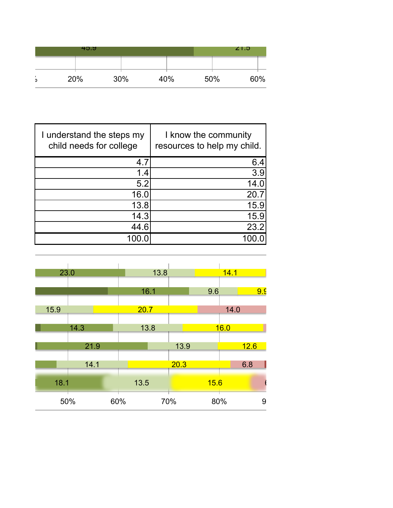|   | 45.9 |     |     |     | Z1.5 |  |
|---|------|-----|-----|-----|------|--|
|   |      |     |     |     |      |  |
| o | 20%  | 30% | 40% | 50% | 60%  |  |

| I understand the steps my<br>child needs for college | I know the community<br>resources to help my child. |
|------------------------------------------------------|-----------------------------------------------------|
| 4.7                                                  | 6.4                                                 |
| 1.4                                                  | 3.9                                                 |
| 5.2                                                  | 14.0                                                |
| 16.0                                                 | 20.7                                                |
| 13.8                                                 | 15.9                                                |
| 14.3                                                 | 15.9                                                |
| 44.6                                                 | 23.2                                                |
|                                                      |                                                     |

| 23.0 |      |     | 13.8 |      | 14.1 |      |      |
|------|------|-----|------|------|------|------|------|
|      |      |     | 16.1 |      | 9.6  |      | 9.9  |
| 15.9 |      |     | 20.7 |      |      | 14.0 |      |
|      | 14.3 |     | 13.8 |      |      | 16.0 |      |
|      | 21.9 |     |      | 13.9 |      |      | 12.6 |
|      | 14.1 |     |      | 20.3 |      |      | 6.8  |
| 18.1 |      |     | 13.5 |      | 15.6 |      |      |
| 50%  |      | 60% |      | 70%  | 80%  |      | 9    |